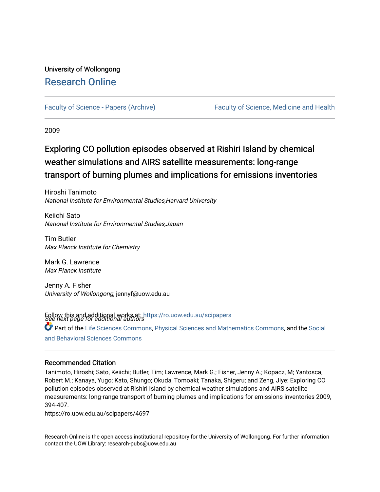# University of Wollongong [Research Online](https://ro.uow.edu.au/)

[Faculty of Science - Papers \(Archive\)](https://ro.uow.edu.au/scipapers) [Faculty of Science, Medicine and Health](https://ro.uow.edu.au/smh) 

2009

# Exploring CO pollution episodes observed at Rishiri Island by chemical weather simulations and AIRS satellite measurements: long-range transport of burning plumes and implications for emissions inventories

Hiroshi Tanimoto National Institute for Environmental Studies,Harvard University

Keiichi Sato National Institute for Environmental Studies,Japan

Tim Butler Max Planck Institute for Chemistry

Mark G. Lawrence Max Planck Institute

Jenny A. Fisher University of Wollongong, jennyf@uow.edu.au

Follow this and additional works at: [https://ro.uow.edu.au/scipapers](https://ro.uow.edu.au/scipapers?utm_source=ro.uow.edu.au%2Fscipapers%2F4697&utm_medium=PDF&utm_campaign=PDFCoverPages)<br>See next page for additional authors Part of the [Life Sciences Commons,](http://network.bepress.com/hgg/discipline/1016?utm_source=ro.uow.edu.au%2Fscipapers%2F4697&utm_medium=PDF&utm_campaign=PDFCoverPages) [Physical Sciences and Mathematics Commons,](http://network.bepress.com/hgg/discipline/114?utm_source=ro.uow.edu.au%2Fscipapers%2F4697&utm_medium=PDF&utm_campaign=PDFCoverPages) and the [Social](http://network.bepress.com/hgg/discipline/316?utm_source=ro.uow.edu.au%2Fscipapers%2F4697&utm_medium=PDF&utm_campaign=PDFCoverPages)  [and Behavioral Sciences Commons](http://network.bepress.com/hgg/discipline/316?utm_source=ro.uow.edu.au%2Fscipapers%2F4697&utm_medium=PDF&utm_campaign=PDFCoverPages) 

#### Recommended Citation

Tanimoto, Hiroshi; Sato, Keiichi; Butler, Tim; Lawrence, Mark G.; Fisher, Jenny A.; Kopacz, M; Yantosca, Robert M.; Kanaya, Yugo; Kato, Shungo; Okuda, Tomoaki; Tanaka, Shigeru; and Zeng, Jiye: Exploring CO pollution episodes observed at Rishiri Island by chemical weather simulations and AIRS satellite measurements: long-range transport of burning plumes and implications for emissions inventories 2009, 394-407.

https://ro.uow.edu.au/scipapers/4697

Research Online is the open access institutional repository for the University of Wollongong. For further information contact the UOW Library: research-pubs@uow.edu.au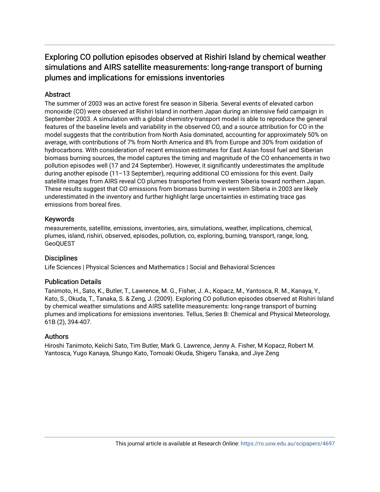# Exploring CO pollution episodes observed at Rishiri Island by chemical weather simulations and AIRS satellite measurements: long-range transport of burning plumes and implications for emissions inventories

## **Abstract**

The summer of 2003 was an active forest fire season in Siberia. Several events of elevated carbon monoxide (CO) were observed at Rishiri Island in northern Japan during an intensive field campaign in September 2003. A simulation with a global chemistry-transport model is able to reproduce the general features of the baseline levels and variability in the observed CO, and a source attribution for CO in the model suggests that the contribution from North Asia dominated, accounting for approximately 50% on average, with contributions of 7% from North America and 8% from Europe and 30% from oxidation of hydrocarbons. With consideration of recent emission estimates for East Asian fossil fuel and Siberian biomass burning sources, the model captures the timing and magnitude of the CO enhancements in two pollution episodes well (17 and 24 September). However, it significantly underestimates the amplitude during another episode (11–13 September), requiring additional CO emissions for this event. Daily satellite images from AIRS reveal CO plumes transported from western Siberia toward northern Japan. These results suggest that CO emissions from biomass burning in western Siberia in 2003 are likely underestimated in the inventory and further highlight large uncertainties in estimating trace gas emissions from boreal fires.

## Keywords

measurements, satellite, emissions, inventories, airs, simulations, weather, implications, chemical, plumes, island, rishiri, observed, episodes, pollution, co, exploring, burning, transport, range, long, GeoQUEST

# **Disciplines**

Life Sciences | Physical Sciences and Mathematics | Social and Behavioral Sciences

## Publication Details

Tanimoto, H., Sato, K., Butler, T., Lawrence, M. G., Fisher, J. A., Kopacz, M., Yantosca, R. M., Kanaya, Y., Kato, S., Okuda, T., Tanaka, S. & Zeng, J. (2009). Exploring CO pollution episodes observed at Rishiri Island by chemical weather simulations and AIRS satellite measurements: long-range transport of burning plumes and implications for emissions inventories. Tellus, Series B: Chemical and Physical Meteorology, 61B (2), 394-407.

## Authors

Hiroshi Tanimoto, Keiichi Sato, Tim Butler, Mark G. Lawrence, Jenny A. Fisher, M Kopacz, Robert M. Yantosca, Yugo Kanaya, Shungo Kato, Tomoaki Okuda, Shigeru Tanaka, and Jiye Zeng